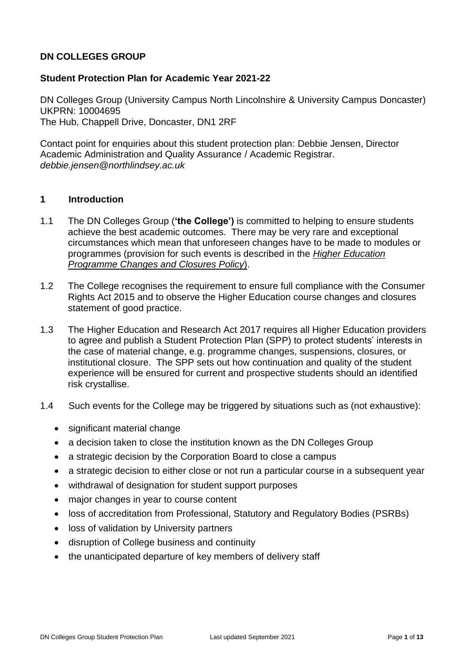# **DN COLLEGES GROUP**

## **Student Protection Plan for Academic Year 2021-22**

DN Colleges Group (University Campus North Lincolnshire & University Campus Doncaster) UKPRN: 10004695 The Hub, Chappell Drive, Doncaster, DN1 2RF

Contact point for enquiries about this student protection plan: Debbie Jensen, Director Academic Administration and Quality Assurance / Academic Registrar. *debbie.jensen@northlindsey.ac.uk*

#### **1 Introduction**

- 1.1 The DN Colleges Group (**'the College')** is committed to helping to ensure students achieve the best academic outcomes. There may be very rare and exceptional circumstances which mean that unforeseen changes have to be made to modules or programmes (provision for such events is described in the *[Higher Education](https://ucnl.ac.uk/wp-content/uploads/2020/05/DNCG-HE-Programme-Changes-and-Closures-Policy.pdf)  [Programme Changes and Closures Policy](https://ucnl.ac.uk/wp-content/uploads/2020/05/DNCG-HE-Programme-Changes-and-Closures-Policy.pdf)*).
- 1.2 The College recognises the requirement to ensure full compliance with the Consumer Rights Act 2015 and to observe the Higher Education course changes and closures statement of good practice.
- 1.3 The Higher Education and Research Act 2017 requires all Higher Education providers to agree and publish a Student Protection Plan (SPP) to protect students' interests in the case of material change, e.g. programme changes, suspensions, closures, or institutional closure. The SPP sets out how continuation and quality of the student experience will be ensured for current and prospective students should an identified risk crystallise.
- 1.4 Such events for the College may be triggered by situations such as (not exhaustive):
	- significant material change
	- a decision taken to close the institution known as the DN Colleges Group
	- a strategic decision by the Corporation Board to close a campus
	- a strategic decision to either close or not run a particular course in a subsequent year
	- withdrawal of designation for student support purposes
	- major changes in year to course content
	- loss of accreditation from Professional, Statutory and Regulatory Bodies (PSRBs)
	- loss of validation by University partners
	- disruption of College business and continuity
	- the unanticipated departure of key members of delivery staff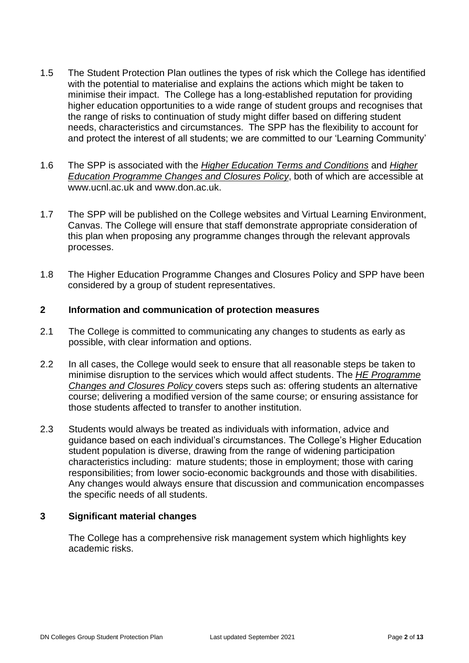- 1.5 The Student Protection Plan outlines the types of risk which the College has identified with the potential to materialise and explains the actions which might be taken to minimise their impact. The College has a long-established reputation for providing higher education opportunities to a wide range of student groups and recognises that the range of risks to continuation of study might differ based on differing student needs, characteristics and circumstances. The SPP has the flexibility to account for and protect the interest of all students; we are committed to our 'Learning Community'
- 1.6 The SPP is associated with the *Higher Education [Terms and Conditions](file:///C:/Users/rb13/Downloads/=)* and *[Higher](https://ucnl.ac.uk/wp-content/uploads/2020/05/DNCG-HE-Programme-Changes-and-Closures-Policy.pdf)  [Education Programme Changes and Closures Policy](https://ucnl.ac.uk/wp-content/uploads/2020/05/DNCG-HE-Programme-Changes-and-Closures-Policy.pdf)*, both of which are accessible at [www.ucnl.ac.uk](http://www.ucnl.ac.uk/) and [www.don.ac.uk.](http://www.don.ac.uk/)
- 1.7 The SPP will be published on the College websites and Virtual Learning Environment, Canvas. The College will ensure that staff demonstrate appropriate consideration of this plan when proposing any programme changes through the relevant approvals processes.
- 1.8 The Higher Education Programme Changes and Closures Policy and SPP have been considered by a group of student representatives.

## **2 Information and communication of protection measures**

- 2.1 The College is committed to communicating any changes to students as early as possible, with clear information and options.
- 2.2 In all cases, the College would seek to ensure that all reasonable steps be taken to minimise disruption to the services which would affect students. The *[HE Programme](https://ucnl.ac.uk/wp-content/uploads/2020/05/DNCG-HE-Programme-Changes-and-Closures-Policy.pdf)  [Changes and Closures Policy](https://ucnl.ac.uk/wp-content/uploads/2020/05/DNCG-HE-Programme-Changes-and-Closures-Policy.pdf)* covers steps such as: offering students an alternative course; delivering a modified version of the same course; or ensuring assistance for those students affected to transfer to another institution.
- 2.3 Students would always be treated as individuals with information, advice and guidance based on each individual's circumstances. The College's Higher Education student population is diverse, drawing from the range of widening participation characteristics including: mature students; those in employment; those with caring responsibilities; from lower socio-economic backgrounds and those with disabilities. Any changes would always ensure that discussion and communication encompasses the specific needs of all students.

#### **3 Significant material changes**

The College has a comprehensive risk management system which highlights key academic risks.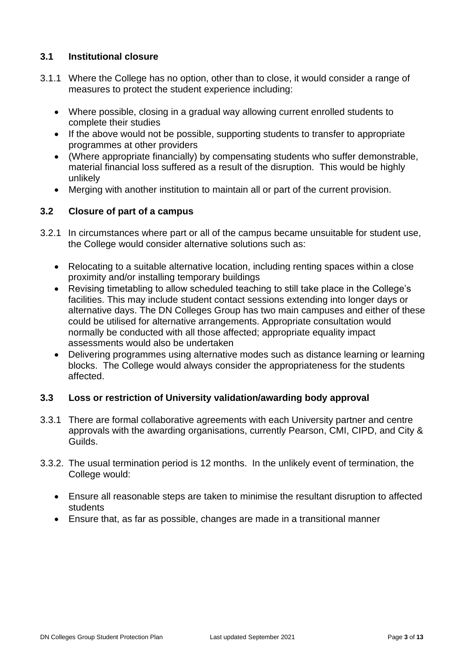# **3.1 Institutional closure**

- 3.1.1 Where the College has no option, other than to close, it would consider a range of measures to protect the student experience including:
	- Where possible, closing in a gradual way allowing current enrolled students to complete their studies
	- If the above would not be possible, supporting students to transfer to appropriate programmes at other providers
	- (Where appropriate financially) by compensating students who suffer demonstrable, material financial loss suffered as a result of the disruption. This would be highly unlikely
	- Merging with another institution to maintain all or part of the current provision.

# **3.2 Closure of part of a campus**

- 3.2.1 In circumstances where part or all of the campus became unsuitable for student use, the College would consider alternative solutions such as:
	- Relocating to a suitable alternative location, including renting spaces within a close proximity and/or installing temporary buildings
	- Revising timetabling to allow scheduled teaching to still take place in the College's facilities. This may include student contact sessions extending into longer days or alternative days. The DN Colleges Group has two main campuses and either of these could be utilised for alternative arrangements. Appropriate consultation would normally be conducted with all those affected; appropriate equality impact assessments would also be undertaken
	- Delivering programmes using alternative modes such as distance learning or learning blocks. The College would always consider the appropriateness for the students affected.

## **3.3 Loss or restriction of University validation/awarding body approval**

- 3.3.1 There are formal collaborative agreements with each University partner and centre approvals with the awarding organisations, currently Pearson, CMI, CIPD, and City & Guilds.
- 3.3.2. The usual termination period is 12 months. In the unlikely event of termination, the College would:
	- Ensure all reasonable steps are taken to minimise the resultant disruption to affected students
	- Ensure that, as far as possible, changes are made in a transitional manner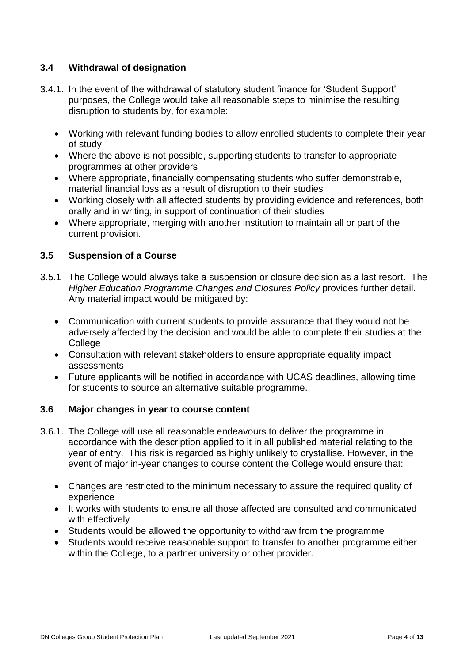# **3.4 Withdrawal of designation**

- 3.4.1. In the event of the withdrawal of statutory student finance for 'Student Support' purposes, the College would take all reasonable steps to minimise the resulting disruption to students by, for example:
	- Working with relevant funding bodies to allow enrolled students to complete their year of study
	- Where the above is not possible, supporting students to transfer to appropriate programmes at other providers
	- Where appropriate, financially compensating students who suffer demonstrable, material financial loss as a result of disruption to their studies
	- Working closely with all affected students by providing evidence and references, both orally and in writing, in support of continuation of their studies
	- Where appropriate, merging with another institution to maintain all or part of the current provision.

# **3.5 Suspension of a Course**

- 3.5.1 The College would always take a suspension or closure decision as a last resort. The *[Higher Education Programme Changes and Closures Policy](https://ucnl.ac.uk/wp-content/uploads/2020/05/DNCG-HE-Programme-Changes-and-Closures-Policy.pdf)* provides further detail. Any material impact would be mitigated by:
	- Communication with current students to provide assurance that they would not be adversely affected by the decision and would be able to complete their studies at the College
	- Consultation with relevant stakeholders to ensure appropriate equality impact assessments
	- Future applicants will be notified in accordance with UCAS deadlines, allowing time for students to source an alternative suitable programme.

## **3.6 Major changes in year to course content**

- 3.6.1. The College will use all reasonable endeavours to deliver the programme in accordance with the description applied to it in all published material relating to the year of entry. This risk is regarded as highly unlikely to crystallise. However, in the event of major in-year changes to course content the College would ensure that:
	- Changes are restricted to the minimum necessary to assure the required quality of experience
	- It works with students to ensure all those affected are consulted and communicated with effectively
	- Students would be allowed the opportunity to withdraw from the programme
	- Students would receive reasonable support to transfer to another programme either within the College, to a partner university or other provider.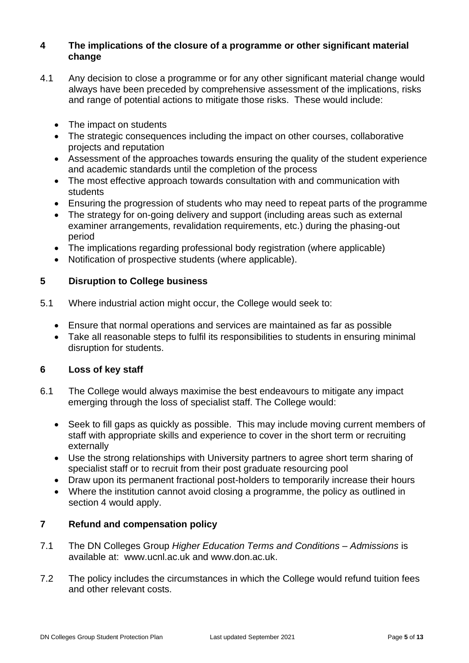## **4 The implications of the closure of a programme or other significant material change**

- 4.1 Any decision to close a programme or for any other significant material change would always have been preceded by comprehensive assessment of the implications, risks and range of potential actions to mitigate those risks. These would include:
	- The impact on students
	- The strategic consequences including the impact on other courses, collaborative projects and reputation
	- Assessment of the approaches towards ensuring the quality of the student experience and academic standards until the completion of the process
	- The most effective approach towards consultation with and communication with students
	- Ensuring the progression of students who may need to repeat parts of the programme
	- The strategy for on-going delivery and support (including areas such as external examiner arrangements, revalidation requirements, etc.) during the phasing-out period
	- The implications regarding professional body registration (where applicable)
	- Notification of prospective students (where applicable).

# **5 Disruption to College business**

- 5.1 Where industrial action might occur, the College would seek to:
	- Ensure that normal operations and services are maintained as far as possible
	- Take all reasonable steps to fulfil its responsibilities to students in ensuring minimal disruption for students.

## **6 Loss of key staff**

- 6.1 The College would always maximise the best endeavours to mitigate any impact emerging through the loss of specialist staff. The College would:
	- Seek to fill gaps as quickly as possible. This may include moving current members of staff with appropriate skills and experience to cover in the short term or recruiting externally
	- Use the strong relationships with University partners to agree short term sharing of specialist staff or to recruit from their post graduate resourcing pool
	- Draw upon its permanent fractional post-holders to temporarily increase their hours
	- Where the institution cannot avoid closing a programme, the policy as outlined in section 4 would apply.

## **7 Refund and compensation policy**

- 7.1 The DN Colleges Group *Higher Education Terms and Conditions – Admissions* is available at: [www.ucnl.ac.uk](http://www.ucnl.ac.uk/) and [www.don.ac.uk.](http://www.don.ac.uk/)
- 7.2 The policy includes the circumstances in which the College would refund tuition fees and other relevant costs.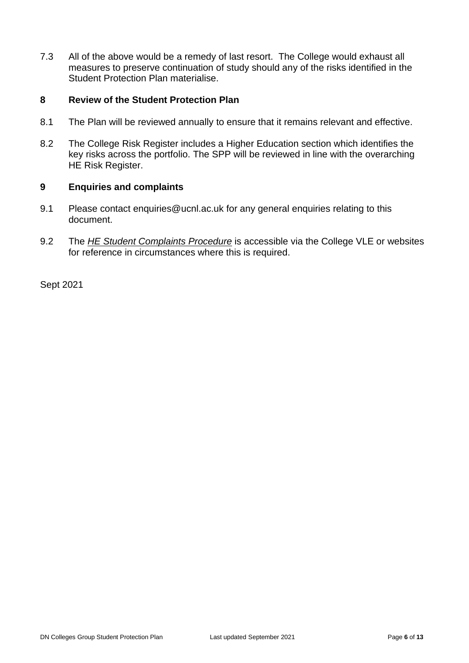7.3 All of the above would be a remedy of last resort. The College would exhaust all measures to preserve continuation of study should any of the risks identified in the Student Protection Plan materialise.

## **8 Review of the Student Protection Plan**

- 8.1 The Plan will be reviewed annually to ensure that it remains relevant and effective.
- 8.2 The College Risk Register includes a Higher Education section which identifies the key risks across the portfolio. The SPP will be reviewed in line with the overarching HE Risk Register.

#### **9 Enquiries and complaints**

- 9.1 Please contact [enquiries@ucnl.ac.uk](mailto:he@northlindsey.ac.uk) for any general enquiries relating to this document.
- 9.2 The *[HE Student Complaints](http://www.northlindsey.ac.uk/media/106028/DNCG-HE-Student-Complaints-Procedure.pdf) Procedure* is accessible via the College VLE or websites for reference in circumstances where this is required.

Sept 2021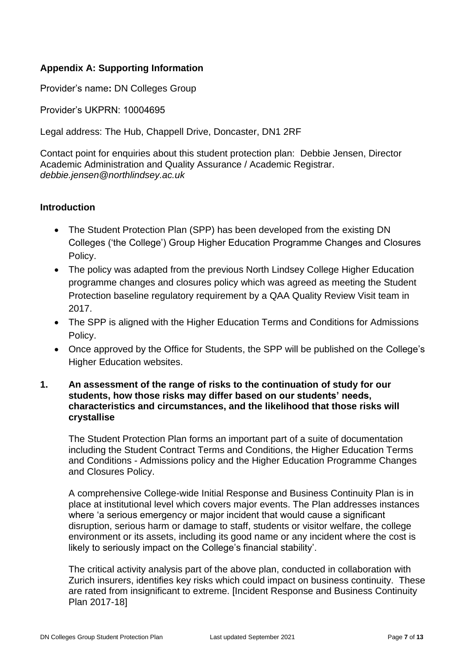# **Appendix A: Supporting Information**

Provider's name**:** DN Colleges Group

Provider's UKPRN: 10004695

Legal address: The Hub, Chappell Drive, Doncaster, DN1 2RF

Contact point for enquiries about this student protection plan: Debbie Jensen, Director Academic Administration and Quality Assurance / Academic Registrar. *debbie.jensen@northlindsey.ac.uk*

#### **Introduction**

- The Student Protection Plan (SPP) has been developed from the existing DN Colleges ('the College') Group Higher Education Programme Changes and Closures Policy.
- The policy was adapted from the previous North Lindsey College Higher Education programme changes and closures policy which was agreed as meeting the Student Protection baseline regulatory requirement by a QAA Quality Review Visit team in 2017.
- The SPP is aligned with the Higher Education Terms and Conditions for Admissions Policy.
- Once approved by the Office for Students, the SPP will be published on the College's Higher Education websites.
- **1. An assessment of the range of risks to the continuation of study for our students, how those risks may differ based on our students' needs, characteristics and circumstances, and the likelihood that those risks will crystallise**

The Student Protection Plan forms an important part of a suite of documentation including the Student Contract Terms and Conditions, the Higher Education Terms and Conditions - Admissions policy and the Higher Education Programme Changes and Closures Policy.

A comprehensive College-wide Initial Response and Business Continuity Plan is in place at institutional level which covers major events. The Plan addresses instances where 'a serious emergency or major incident that would cause a significant disruption, serious harm or damage to staff, students or visitor welfare, the college environment or its assets, including its good name or any incident where the cost is likely to seriously impact on the College's financial stability'.

The critical activity analysis part of the above plan, conducted in collaboration with Zurich insurers, identifies key risks which could impact on business continuity. These are rated from insignificant to extreme. [Incident Response and Business Continuity Plan 2017-18]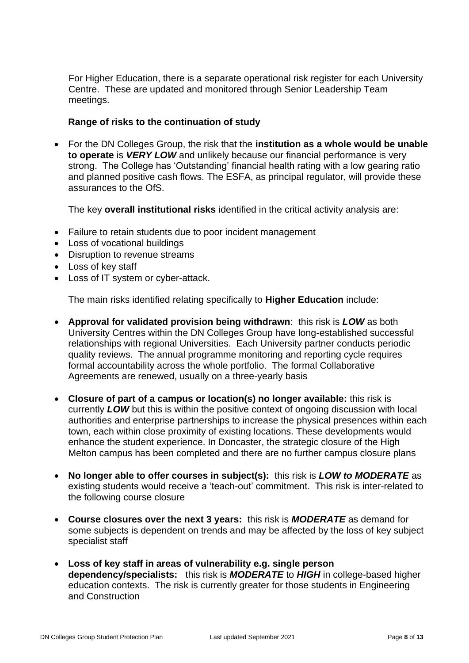For Higher Education, there is a separate operational risk register for each University Centre. These are updated and monitored through Senior Leadership Team meetings.

## **Range of risks to the continuation of study**

• For the DN Colleges Group, the risk that the **institution as a whole would be unable to operate** is *VERY LOW* and unlikely because our financial performance is very strong. The College has 'Outstanding' financial health rating with a low gearing ratio and planned positive cash flows. The ESFA, as principal regulator, will provide these assurances to the OfS.

The key **overall institutional risks** identified in the critical activity analysis are:

- Failure to retain students due to poor incident management
- Loss of vocational buildings
- Disruption to revenue streams
- Loss of key staff
- Loss of IT system or cyber-attack.

The main risks identified relating specifically to **Higher Education** include:

- **Approval for validated provision being withdrawn**: this risk is *LOW* as both University Centres within the DN Colleges Group have long-established successful relationships with regional Universities. Each University partner conducts periodic quality reviews. The annual programme monitoring and reporting cycle requires formal accountability across the whole portfolio. The formal Collaborative Agreements are renewed, usually on a three-yearly basis
- **Closure of part of a campus or location(s) no longer available:** this risk is currently *LOW* but this is within the positive context of ongoing discussion with local authorities and enterprise partnerships to increase the physical presences within each town, each within close proximity of existing locations. These developments would enhance the student experience. In Doncaster, the strategic closure of the High Melton campus has been completed and there are no further campus closure plans
- **No longer able to offer courses in subject(s):** this risk is *LOW to MODERATE* as existing students would receive a 'teach-out' commitment. This risk is inter-related to the following course closure
- **Course closures over the next 3 years:** this risk is *MODERATE* as demand for some subjects is dependent on trends and may be affected by the loss of key subject specialist staff
- **Loss of key staff in areas of vulnerability e.g. single person dependency/specialists:** this risk is *MODERATE* to *HIGH* in college-based higher education contexts. The risk is currently greater for those students in Engineering and Construction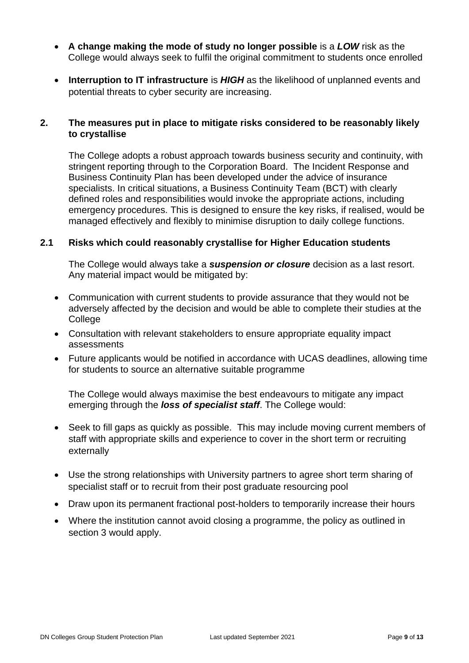- **A change making the mode of study no longer possible** is a *LOW* risk as the College would always seek to fulfil the original commitment to students once enrolled
- **Interruption to IT infrastructure** is *HIGH* as the likelihood of unplanned events and potential threats to cyber security are increasing.

## **2. The measures put in place to mitigate risks considered to be reasonably likely to crystallise**

The College adopts a robust approach towards business security and continuity, with stringent reporting through to the Corporation Board. The Incident Response and Business Continuity Plan has been developed under the advice of insurance specialists. In critical situations, a Business Continuity Team (BCT) with clearly defined roles and responsibilities would invoke the appropriate actions, including emergency procedures. This is designed to ensure the key risks, if realised, would be managed effectively and flexibly to minimise disruption to daily college functions.

## **2.1 Risks which could reasonably crystallise for Higher Education students**

The College would always take a *suspension or closure* decision as a last resort. Any material impact would be mitigated by:

- Communication with current students to provide assurance that they would not be adversely affected by the decision and would be able to complete their studies at the **College**
- Consultation with relevant stakeholders to ensure appropriate equality impact assessments
- Future applicants would be notified in accordance with UCAS deadlines, allowing time for students to source an alternative suitable programme

The College would always maximise the best endeavours to mitigate any impact emerging through the *loss of specialist staff*. The College would:

- Seek to fill gaps as quickly as possible. This may include moving current members of staff with appropriate skills and experience to cover in the short term or recruiting externally
- Use the strong relationships with University partners to agree short term sharing of specialist staff or to recruit from their post graduate resourcing pool
- Draw upon its permanent fractional post-holders to temporarily increase their hours
- Where the institution cannot avoid closing a programme, the policy as outlined in section 3 would apply.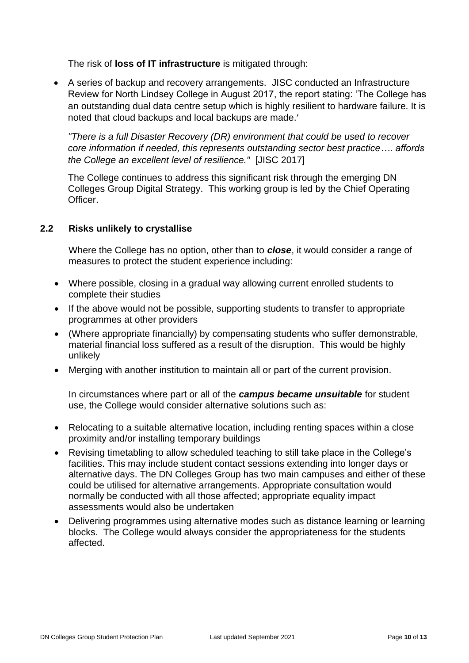The risk of **loss of IT infrastructure** is mitigated through:

• A series of backup and recovery arrangements. JISC conducted an Infrastructure Review for North Lindsey College in August 2017, the report stating: 'The College has an outstanding dual data centre setup which is highly resilient to hardware failure. It is noted that cloud backups and local backups are made.'

*"There is a full Disaster Recovery (DR) environment that could be used to recover core information if needed, this represents outstanding sector best practice…. affords the College an excellent level of resilience."* [JISC 2017]

The College continues to address this significant risk through the emerging DN Colleges Group Digital Strategy. This working group is led by the Chief Operating Officer.

## **2.2 Risks unlikely to crystallise**

Where the College has no option, other than to *close*, it would consider a range of measures to protect the student experience including:

- Where possible, closing in a gradual way allowing current enrolled students to complete their studies
- If the above would not be possible, supporting students to transfer to appropriate programmes at other providers
- (Where appropriate financially) by compensating students who suffer demonstrable, material financial loss suffered as a result of the disruption. This would be highly unlikely
- Merging with another institution to maintain all or part of the current provision.

In circumstances where part or all of the *campus became unsuitable* for student use, the College would consider alternative solutions such as:

- Relocating to a suitable alternative location, including renting spaces within a close proximity and/or installing temporary buildings
- Revising timetabling to allow scheduled teaching to still take place in the College's facilities. This may include student contact sessions extending into longer days or alternative days. The DN Colleges Group has two main campuses and either of these could be utilised for alternative arrangements. Appropriate consultation would normally be conducted with all those affected; appropriate equality impact assessments would also be undertaken
- Delivering programmes using alternative modes such as distance learning or learning blocks. The College would always consider the appropriateness for the students affected.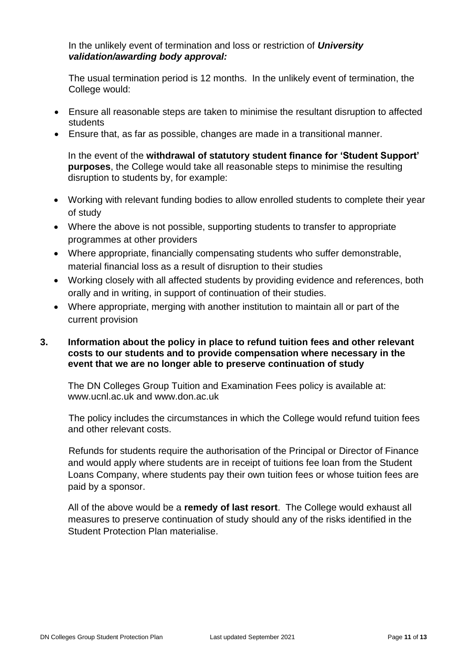#### In the unlikely event of termination and loss or restriction of *University validation/awarding body approval:*

The usual termination period is 12 months. In the unlikely event of termination, the College would:

- Ensure all reasonable steps are taken to minimise the resultant disruption to affected students
- Ensure that, as far as possible, changes are made in a transitional manner.

In the event of the **withdrawal of statutory student finance for 'Student Support' purposes**, the College would take all reasonable steps to minimise the resulting disruption to students by, for example:

- Working with relevant funding bodies to allow enrolled students to complete their year of study
- Where the above is not possible, supporting students to transfer to appropriate programmes at other providers
- Where appropriate, financially compensating students who suffer demonstrable, material financial loss as a result of disruption to their studies
- Working closely with all affected students by providing evidence and references, both orally and in writing, in support of continuation of their studies.
- Where appropriate, merging with another institution to maintain all or part of the current provision

## **3. Information about the policy in place to refund tuition fees and other relevant costs to our students and to provide compensation where necessary in the event that we are no longer able to preserve continuation of study**

The DN Colleges Group Tuition and Examination Fees policy is available at: [www.ucnl.ac.uk](http://www.ucnl.ac.uk/) and www.don.ac.uk

The policy includes the circumstances in which the College would refund tuition fees and other relevant costs.

Refunds for students require the authorisation of the Principal or Director of Finance and would apply where students are in receipt of tuitions fee loan from the Student Loans Company, where students pay their own tuition fees or whose tuition fees are paid by a sponsor.

All of the above would be a **remedy of last resort**. The College would exhaust all measures to preserve continuation of study should any of the risks identified in the Student Protection Plan materialise.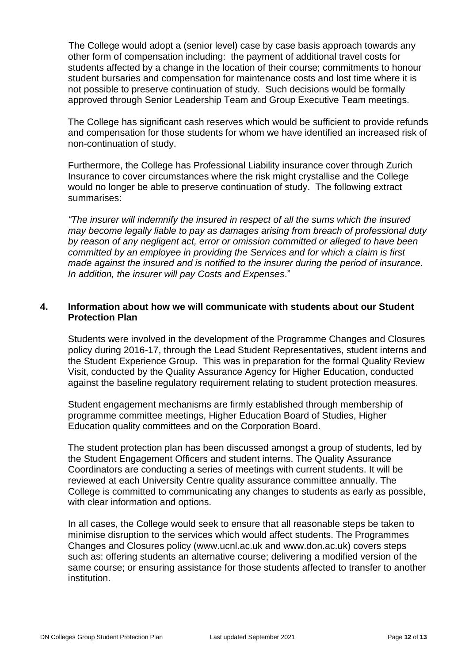The College would adopt a (senior level) case by case basis approach towards any other form of compensation including: the payment of additional travel costs for students affected by a change in the location of their course; commitments to honour student bursaries and compensation for maintenance costs and lost time where it is not possible to preserve continuation of study. Such decisions would be formally approved through Senior Leadership Team and Group Executive Team meetings.

The College has significant cash reserves which would be sufficient to provide refunds and compensation for those students for whom we have identified an increased risk of non-continuation of study.

Furthermore, the College has Professional Liability insurance cover through Zurich Insurance to cover circumstances where the risk might crystallise and the College would no longer be able to preserve continuation of study. The following extract summarises:

*"The insurer will indemnify the insured in respect of all the sums which the insured may become legally liable to pay as damages arising from breach of professional duty by reason of any negligent act, error or omission committed or alleged to have been committed by an employee in providing the Services and for which a claim is first made against the insured and is notified to the insurer during the period of insurance. In addition, the insurer will pay Costs and Expenses*."

#### **4. Information about how we will communicate with students about our Student Protection Plan**

Students were involved in the development of the Programme Changes and Closures policy during 2016-17, through the Lead Student Representatives, student interns and the Student Experience Group. This was in preparation for the formal Quality Review Visit, conducted by the Quality Assurance Agency for Higher Education, conducted against the baseline regulatory requirement relating to student protection measures.

Student engagement mechanisms are firmly established through membership of programme committee meetings, Higher Education Board of Studies, Higher Education quality committees and on the Corporation Board.

The student protection plan has been discussed amongst a group of students, led by the Student Engagement Officers and student interns. The Quality Assurance Coordinators are conducting a series of meetings with current students. It will be reviewed at each University Centre quality assurance committee annually. The College is committed to communicating any changes to students as early as possible, with clear information and options.

In all cases, the College would seek to ensure that all reasonable steps be taken to minimise disruption to the services which would affect students. The Programmes Changes and Closures policy [\(www.ucnl.ac.uk](http://www.ucnl.ac.uk/) and [www.don.ac.uk\)](http://www.don.ac.uk/) covers steps such as: offering students an alternative course; delivering a modified version of the same course; or ensuring assistance for those students affected to transfer to another institution.